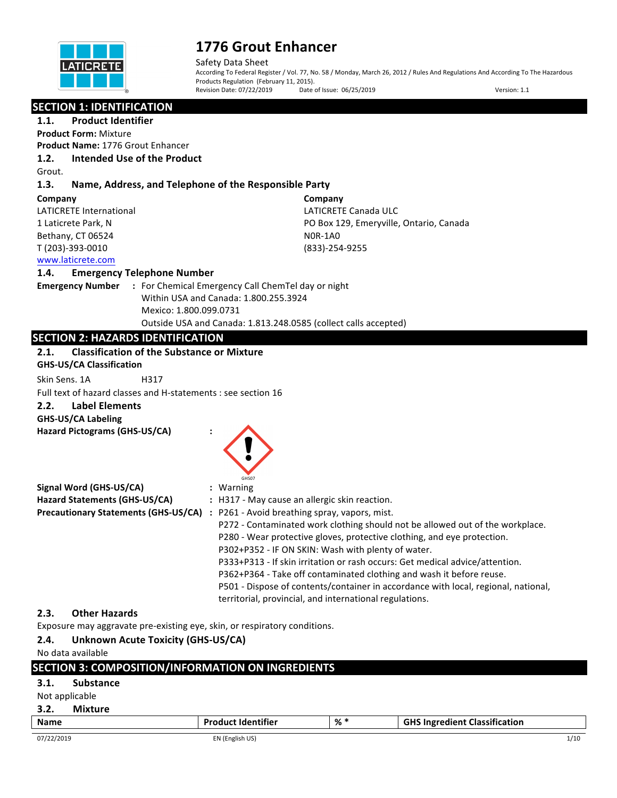

Safety Data Sheet According To Federal Register / Vol. 77, No. 58 / Monday, March 26, 2012 / Rules And Regulations And According To The Hazardous Products Regulation (February 11, 2015). Revision Date: 07/22/2019 Date of Issue: 06/25/2019 Date of Issue: 06/25/2019 Version: 1.1

| <b>SECTION 1: IDENTIFICATION</b>                                          |                                                                                                                                                          |
|---------------------------------------------------------------------------|----------------------------------------------------------------------------------------------------------------------------------------------------------|
| <b>Product Identifier</b><br>1.1.                                         |                                                                                                                                                          |
| <b>Product Form: Mixture</b>                                              |                                                                                                                                                          |
| <b>Product Name: 1776 Grout Enhancer</b>                                  |                                                                                                                                                          |
| <b>Intended Use of the Product</b><br>1.2.                                |                                                                                                                                                          |
| Grout.                                                                    |                                                                                                                                                          |
| 1.3.<br>Name, Address, and Telephone of the Responsible Party             |                                                                                                                                                          |
| Company                                                                   | Company                                                                                                                                                  |
| <b>LATICRETE International</b>                                            | LATICRETE Canada ULC                                                                                                                                     |
| 1 Laticrete Park, N                                                       | PO Box 129, Emeryville, Ontario, Canada                                                                                                                  |
| Bethany, CT 06524                                                         | <b>NOR-1A0</b>                                                                                                                                           |
| T (203)-393-0010                                                          | (833)-254-9255                                                                                                                                           |
| www.laticrete.com                                                         |                                                                                                                                                          |
| 1.4.<br><b>Emergency Telephone Number</b>                                 |                                                                                                                                                          |
| <b>Emergency Number</b>                                                   | : For Chemical Emergency Call ChemTel day or night                                                                                                       |
|                                                                           | Within USA and Canada: 1.800.255.3924                                                                                                                    |
| Mexico: 1.800.099.0731                                                    |                                                                                                                                                          |
|                                                                           | Outside USA and Canada: 1.813.248.0585 (collect calls accepted)                                                                                          |
| <b>SECTION 2: HAZARDS IDENTIFICATION</b>                                  |                                                                                                                                                          |
| <b>Classification of the Substance or Mixture</b><br>2.1.                 |                                                                                                                                                          |
| <b>GHS-US/CA Classification</b>                                           |                                                                                                                                                          |
| Skin Sens. 1A<br>H317                                                     |                                                                                                                                                          |
| Full text of hazard classes and H-statements : see section 16             |                                                                                                                                                          |
| <b>Label Elements</b><br>2.2.                                             |                                                                                                                                                          |
| <b>GHS-US/CA Labeling</b>                                                 |                                                                                                                                                          |
| Hazard Pictograms (GHS-US/CA)                                             |                                                                                                                                                          |
|                                                                           |                                                                                                                                                          |
|                                                                           |                                                                                                                                                          |
|                                                                           |                                                                                                                                                          |
|                                                                           | SHS03                                                                                                                                                    |
| Signal Word (GHS-US/CA)                                                   | : Warning                                                                                                                                                |
| Hazard Statements (GHS-US/CA)                                             | : H317 - May cause an allergic skin reaction.                                                                                                            |
|                                                                           | Precautionary Statements (GHS-US/CA) : P261 - Avoid breathing spray, vapors, mist.                                                                       |
|                                                                           | P272 - Contaminated work clothing should not be allowed out of the workplace.<br>P280 - Wear protective gloves, protective clothing, and eye protection. |
|                                                                           | P302+P352 - IF ON SKIN: Wash with plenty of water.                                                                                                       |
|                                                                           | P333+P313 - If skin irritation or rash occurs: Get medical advice/attention.                                                                             |
|                                                                           | P362+P364 - Take off contaminated clothing and wash it before reuse.                                                                                     |
|                                                                           | P501 - Dispose of contents/container in accordance with local, regional, national,                                                                       |
|                                                                           | territorial, provincial, and international regulations.                                                                                                  |
| <b>Other Hazards</b><br>2.3.                                              |                                                                                                                                                          |
| Exposure may aggravate pre-existing eye, skin, or respiratory conditions. |                                                                                                                                                          |
|                                                                           |                                                                                                                                                          |

## 2.4. Unknown Acute Toxicity (GHS-US/CA)

No data available

|             |                  | <b>SECTION 3: COMPOSITION/INFORMATION ON INGREDIENTS</b> |     |                                      |
|-------------|------------------|----------------------------------------------------------|-----|--------------------------------------|
| 3.1.        | <b>Substance</b> |                                                          |     |                                      |
|             | Not applicable   |                                                          |     |                                      |
| 3.2.        | <b>Mixture</b>   |                                                          |     |                                      |
| <b>Name</b> |                  | <b>Product Identifier</b>                                | % * | <b>GHS Ingredient Classification</b> |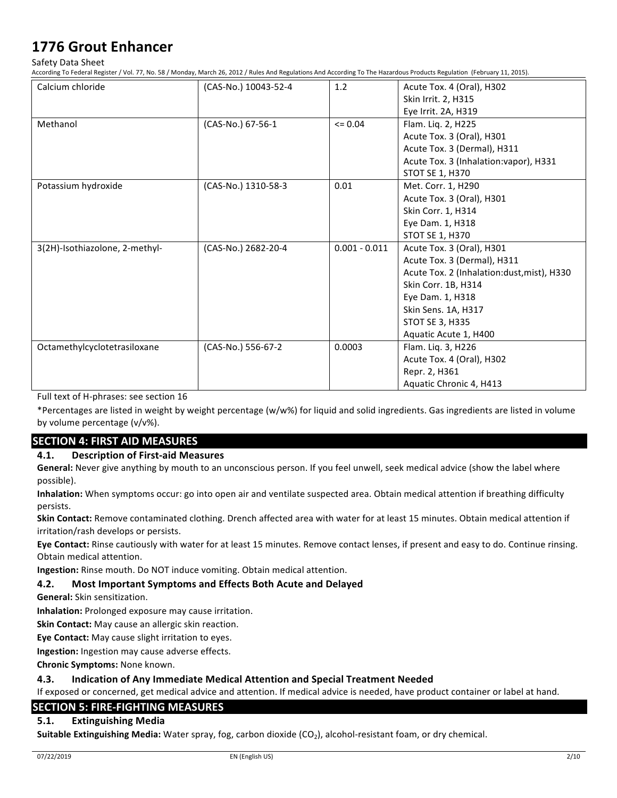Safety Data Sheet

According To Federal Register / Vol. 77, No. 58 / Monday, March 26, 2012 / Rules And Regulations And According To The Hazardous Products Regulation (February 11, 2015).

| Calcium chloride               | (CAS-No.) 10043-52-4 | 1.2             | Acute Tox. 4 (Oral), H302                  |
|--------------------------------|----------------------|-----------------|--------------------------------------------|
|                                |                      |                 | Skin Irrit. 2, H315                        |
|                                |                      |                 | Eye Irrit. 2A, H319                        |
| Methanol                       | (CAS-No.) 67-56-1    | $\leq 0.04$     | Flam. Liq. 2, H225                         |
|                                |                      |                 | Acute Tox. 3 (Oral), H301                  |
|                                |                      |                 | Acute Tox. 3 (Dermal), H311                |
|                                |                      |                 | Acute Tox. 3 (Inhalation: vapor), H331     |
|                                |                      |                 | STOT SE 1, H370                            |
| Potassium hydroxide            | (CAS-No.) 1310-58-3  | 0.01            | Met. Corr. 1, H290                         |
|                                |                      |                 | Acute Tox. 3 (Oral), H301                  |
|                                |                      |                 | Skin Corr. 1, H314                         |
|                                |                      |                 | Eye Dam. 1, H318                           |
|                                |                      |                 | STOT SE 1, H370                            |
| 3(2H)-Isothiazolone, 2-methyl- | (CAS-No.) 2682-20-4  | $0.001 - 0.011$ | Acute Tox. 3 (Oral), H301                  |
|                                |                      |                 | Acute Tox. 3 (Dermal), H311                |
|                                |                      |                 | Acute Tox. 2 (Inhalation:dust, mist), H330 |
|                                |                      |                 | Skin Corr. 1B, H314                        |
|                                |                      |                 | Eye Dam. 1, H318                           |
|                                |                      |                 | Skin Sens. 1A, H317                        |
|                                |                      |                 | <b>STOT SE 3, H335</b>                     |
|                                |                      |                 | Aquatic Acute 1, H400                      |
| Octamethylcyclotetrasiloxane   | (CAS-No.) 556-67-2   | 0.0003          | Flam. Liq. 3, H226                         |
|                                |                      |                 | Acute Tox. 4 (Oral), H302                  |
|                                |                      |                 | Repr. 2, H361                              |
|                                |                      |                 | Aquatic Chronic 4, H413                    |

Full text of H-phrases: see section 16

\*Percentages are listed in weight by weight percentage (w/w%) for liquid and solid ingredients. Gas ingredients are listed in volume by volume percentage  $(v/v\%)$ .

### **SECTION 4: FIRST AID MEASURES**

### **4.1. Description of First-aid Measures**

General: Never give anything by mouth to an unconscious person. If you feel unwell, seek medical advice (show the label where possible).

Inhalation: When symptoms occur: go into open air and ventilate suspected area. Obtain medical attention if breathing difficulty persists.

Skin Contact: Remove contaminated clothing. Drench affected area with water for at least 15 minutes. Obtain medical attention if irritation/rash develops or persists.

Eye Contact: Rinse cautiously with water for at least 15 minutes. Remove contact lenses, if present and easy to do. Continue rinsing. Obtain medical attention.

**Ingestion:** Rinse mouth. Do NOT induce vomiting. Obtain medical attention.

### **4.2.** Most Important Symptoms and Effects Both Acute and Delayed

**General:** Skin sensitization.

**Inhalation:** Prolonged exposure may cause irritation.

**Skin Contact:** May cause an allergic skin reaction.

**Eye Contact:** May cause slight irritation to eyes.

**Ingestion:** Ingestion may cause adverse effects.

**Chronic Symptoms: None known.** 

### **4.3. Indication of Any Immediate Medical Attention and Special Treatment Needed**

If exposed or concerned, get medical advice and attention. If medical advice is needed, have product container or label at hand.

## **SECTION 5: FIRE-FIGHTING MEASURES**

### **5.1. Extinguishing Media**

Suitable Extinguishing Media: Water spray, fog, carbon dioxide (CO<sub>2</sub>), alcohol-resistant foam, or dry chemical.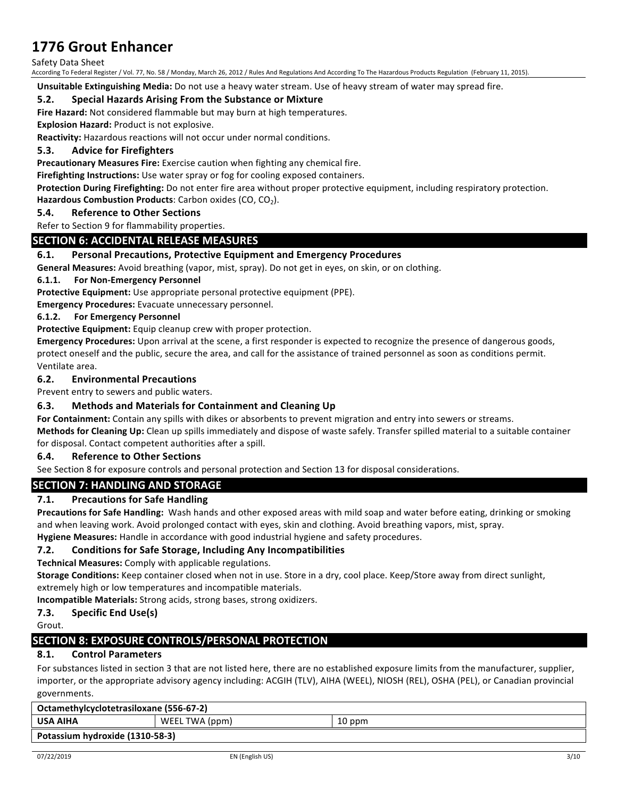Safety Data Sheet

According To Federal Register / Vol. 77, No. 58 / Monday, March 26, 2012 / Rules And Regulations And According To The Hazardous Products Regulation (February 11, 2015).

**Unsuitable Extinguishing Media:** Do not use a heavy water stream. Use of heavy stream of water may spread fire.

### **5.2.** Special Hazards Arising From the Substance or Mixture

**Fire Hazard:** Not considered flammable but may burn at high temperatures.

**Explosion Hazard:** Product is not explosive.

**Reactivity:** Hazardous reactions will not occur under normal conditions.

### **5.3. Advice for Firefighters**

**Precautionary Measures Fire:** Exercise caution when fighting any chemical fire.

**Firefighting Instructions:** Use water spray or fog for cooling exposed containers.

**Protection During Firefighting:** Do not enter fire area without proper protective equipment, including respiratory protection.

**Hazardous Combustion Products:** Carbon oxides (CO, CO<sub>2</sub>).

### **5.4. Reference to Other Sections**

Refer to Section 9 for flammability properties.

### **SECTION 6: ACCIDENTAL RELEASE MEASURES**

### **6.1.** Personal Precautions, Protective Equipment and Emergency Procedures

**General Measures:** Avoid breathing (vapor, mist, spray). Do not get in eyes, on skin, or on clothing.

### **6.1.1.** For Non-Emergency Personnel

**Protective Equipment:** Use appropriate personal protective equipment (PPE).

**Emergency Procedures:** Evacuate unnecessary personnel.

### **6.1.2.** For Emergency Personnel

**Protective Equipment:** Equip cleanup crew with proper protection.

Emergency Procedures: Upon arrival at the scene, a first responder is expected to recognize the presence of dangerous goods, protect oneself and the public, secure the area, and call for the assistance of trained personnel as soon as conditions permit. Ventilate area.

### **6.2. Environmental Precautions**

Prevent entry to sewers and public waters.

### **6.3.** Methods and Materials for Containment and Cleaning Up

**For Containment:** Contain any spills with dikes or absorbents to prevent migration and entry into sewers or streams. Methods for Cleaning Up: Clean up spills immediately and dispose of waste safely. Transfer spilled material to a suitable container

for disposal. Contact competent authorities after a spill.

### **6.4. Reference to Other Sections**

See Section 8 for exposure controls and personal protection and Section 13 for disposal considerations.

### **SECTION 7: HANDLING AND STORAGE**

### **7.1.** Precautions for Safe Handling

**Precautions for Safe Handling:** Wash hands and other exposed areas with mild soap and water before eating, drinking or smoking and when leaving work. Avoid prolonged contact with eyes, skin and clothing. Avoid breathing vapors, mist, spray.

Hygiene Measures: Handle in accordance with good industrial hygiene and safety procedures.

### **7.2. Conditions for Safe Storage, Including Any Incompatibilities**

**Technical Measures:** Comply with applicable regulations.

Storage Conditions: Keep container closed when not in use. Store in a dry, cool place. Keep/Store away from direct sunlight, extremely high or low temperatures and incompatible materials.

**Incompatible Materials:** Strong acids, strong bases, strong oxidizers.

**7.3. Specific End Use(s)** 

Grout.

### **SECTION 8: EXPOSURE CONTROLS/PERSONAL PROTECTION**

### **8.1. Control Parameters**

For substances listed in section 3 that are not listed here, there are no established exposure limits from the manufacturer, supplier, importer, or the appropriate advisory agency including: ACGIH (TLV), AIHA (WEEL), NIOSH (REL), OSHA (PEL), or Canadian provincial governments.

| Octamethylcyclotetrasiloxane (556-67-2) |                |        |
|-----------------------------------------|----------------|--------|
| <b>USA AIHA</b>                         | WEEL TWA (ppm) | 10 ppm |
| Potassium hydroxide (1310-58-3)         |                |        |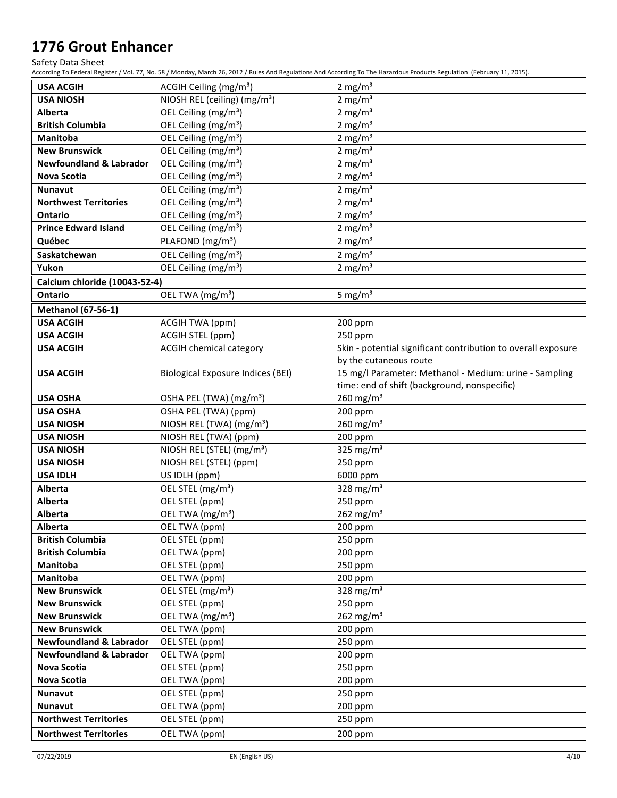Safety Data Sheet

According To Federal Register / Vol. 77, No. 58 / Monday, March 26, 2012 / Rules And Regulations And According To The Hazardous Products Regulation (February 11, 2015).

| <b>USA ACGIH</b>                   | ACGIH Ceiling (mg/m <sup>3</sup> )       | $2 \text{ mg/m}^3$                                            |
|------------------------------------|------------------------------------------|---------------------------------------------------------------|
| <b>USA NIOSH</b>                   | NIOSH REL (ceiling) (mg/m <sup>3</sup> ) | $2$ mg/m <sup>3</sup>                                         |
| Alberta                            | OEL Ceiling (mg/m <sup>3</sup> )         | 2 mg/ $m3$                                                    |
| <b>British Columbia</b>            | OEL Ceiling (mg/m <sup>3</sup> )         | 2 mg/m <sup>3</sup>                                           |
| Manitoba                           | OEL Ceiling (mg/m <sup>3</sup> )         | $2 \text{ mg/m}^3$                                            |
| <b>New Brunswick</b>               | OEL Ceiling (mg/m <sup>3</sup> )         | $2 \text{ mg/m}^3$                                            |
| <b>Newfoundland &amp; Labrador</b> | OEL Ceiling (mg/m <sup>3</sup> )         | $2 \text{ mg/m}^3$                                            |
| Nova Scotia                        | OEL Ceiling (mg/m <sup>3</sup> )         | $2 \text{ mg/m}^3$                                            |
| Nunavut                            | OEL Ceiling (mg/m <sup>3</sup> )         | 2 mg/ $m3$                                                    |
| <b>Northwest Territories</b>       | OEL Ceiling (mg/m <sup>3</sup> )         | 2 mg/ $m3$                                                    |
| <b>Ontario</b>                     | OEL Ceiling (mg/m <sup>3</sup> )         | $2 \text{ mg/m}^3$                                            |
| <b>Prince Edward Island</b>        | OEL Ceiling (mg/m <sup>3</sup> )         | $2 \text{ mg/m}^3$                                            |
| Québec                             | PLAFOND (mg/m <sup>3</sup> )             | $2 \text{ mg/m}^3$                                            |
| Saskatchewan                       | OEL Ceiling (mg/m <sup>3</sup> )         | 2 mg/ $m3$                                                    |
| Yukon                              | OEL Ceiling (mg/m <sup>3</sup> )         | 2 mg/ $m3$                                                    |
|                                    |                                          |                                                               |
| Calcium chloride (10043-52-4)      |                                          |                                                               |
| Ontario                            | OEL TWA (mg/m <sup>3</sup> )             | 5 mg/ $m3$                                                    |
| <b>Methanol (67-56-1)</b>          |                                          |                                                               |
| <b>USA ACGIH</b>                   | <b>ACGIH TWA (ppm)</b>                   | 200 ppm                                                       |
| <b>USA ACGIH</b>                   | ACGIH STEL (ppm)                         | 250 ppm                                                       |
| <b>USA ACGIH</b>                   | <b>ACGIH chemical category</b>           | Skin - potential significant contribution to overall exposure |
|                                    |                                          | by the cutaneous route                                        |
| <b>USA ACGIH</b>                   | <b>Biological Exposure Indices (BEI)</b> | 15 mg/l Parameter: Methanol - Medium: urine - Sampling        |
|                                    |                                          | time: end of shift (background, nonspecific)                  |
| <b>USA OSHA</b>                    | OSHA PEL (TWA) (mg/m <sup>3</sup> )      | 260 $mg/m3$                                                   |
| <b>USA OSHA</b>                    | OSHA PEL (TWA) (ppm)                     | 200 ppm                                                       |
| <b>USA NIOSH</b>                   | NIOSH REL (TWA) (mg/m <sup>3</sup> )     | 260 $mg/m3$                                                   |
| <b>USA NIOSH</b>                   | NIOSH REL (TWA) (ppm)                    | 200 ppm                                                       |
| <b>USA NIOSH</b>                   | NIOSH REL (STEL) (mg/m <sup>3</sup> )    | 325 mg/ $m3$                                                  |
| <b>USA NIOSH</b>                   | NIOSH REL (STEL) (ppm)                   | 250 ppm                                                       |
| <b>USA IDLH</b>                    | US IDLH (ppm)                            | 6000 ppm                                                      |
| Alberta                            | OEL STEL (mg/m <sup>3</sup> )            | 328 mg/m $3$                                                  |
| Alberta                            | OEL STEL (ppm)                           | 250 ppm                                                       |
| <b>Alberta</b>                     | OEL TWA (mg/m <sup>3</sup> )             | 262 $mg/m3$                                                   |
| <b>Alberta</b>                     | OEL TWA (ppm)                            | 200 ppm                                                       |
| <b>British Columbia</b>            | OEL STEL (ppm)                           | 250 ppm                                                       |
| <b>British Columbia</b>            | OEL TWA (ppm)                            | 200 ppm                                                       |
| Manitoba                           | OEL STEL (ppm)                           | 250 ppm                                                       |
| Manitoba                           | OEL TWA (ppm)                            | 200 ppm                                                       |
| <b>New Brunswick</b>               | OEL STEL (mg/m <sup>3</sup> )            | 328 mg/m $3$                                                  |
| <b>New Brunswick</b>               | OEL STEL (ppm)                           | 250 ppm                                                       |
| <b>New Brunswick</b>               | OEL TWA (mg/m <sup>3</sup> )             | 262 $mg/m3$                                                   |
| <b>New Brunswick</b>               | OEL TWA (ppm)                            | 200 ppm                                                       |
| <b>Newfoundland &amp; Labrador</b> | OEL STEL (ppm)                           | 250 ppm                                                       |
| <b>Newfoundland &amp; Labrador</b> | OEL TWA (ppm)                            | 200 ppm                                                       |
| <b>Nova Scotia</b>                 | OEL STEL (ppm)                           | 250 ppm                                                       |
| <b>Nova Scotia</b>                 | OEL TWA (ppm)                            | 200 ppm                                                       |
| <b>Nunavut</b>                     | OEL STEL (ppm)                           | 250 ppm                                                       |
| Nunavut                            | OEL TWA (ppm)                            | 200 ppm                                                       |
| <b>Northwest Territories</b>       | OEL STEL (ppm)                           | 250 ppm                                                       |
| <b>Northwest Territories</b>       | OEL TWA (ppm)                            | 200 ppm                                                       |

07/22/2019 EN (English US) 4/10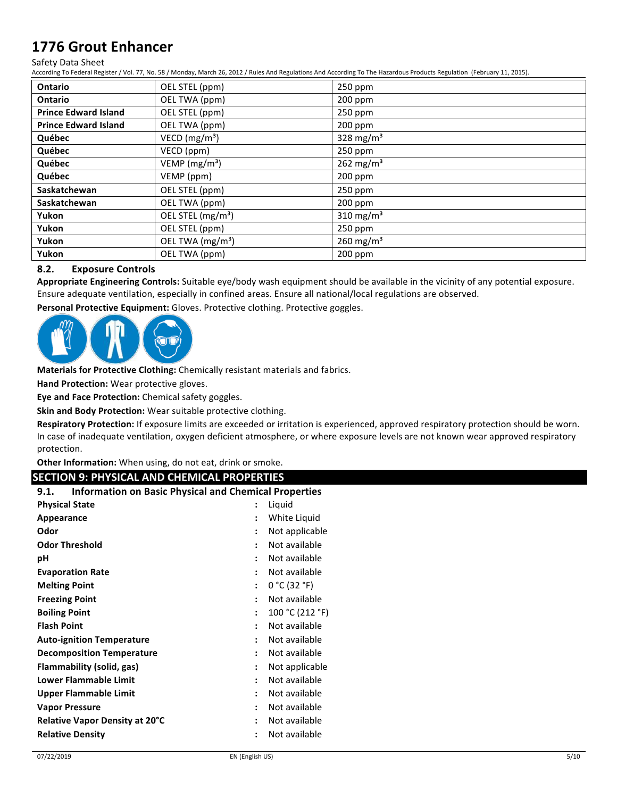#### Safety Data Sheet

According To Federal Register / Vol. 77, No. 58 / Monday, March 26, 2012 / Rules And Regulations And According To The Hazardous Products Regulation (February 11, 2015).

| <b>Ontario</b>              | OEL STEL (ppm)                | 250 ppm                 |
|-----------------------------|-------------------------------|-------------------------|
| <b>Ontario</b>              | OEL TWA (ppm)                 | 200 ppm                 |
| <b>Prince Edward Island</b> | OEL STEL (ppm)                | $250$ ppm               |
| <b>Prince Edward Island</b> | OEL TWA (ppm)                 | 200 ppm                 |
| Québec                      | VECD (mg/m <sup>3</sup> )     | 328 mg/m $3$            |
| Québec                      | VECD (ppm)                    | 250 ppm                 |
| Québec                      | VEMP (mg/m <sup>3</sup> )     | 262 mg/m <sup>3</sup>   |
| Québec                      | VEMP (ppm)                    | $200$ ppm               |
| <b>Saskatchewan</b>         | OEL STEL (ppm)                | 250 ppm                 |
| Saskatchewan                | OEL TWA (ppm)                 | $200$ ppm               |
| Yukon                       | OEL STEL (mg/m <sup>3</sup> ) | 310 mg/m <sup>3</sup>   |
| Yukon                       | OEL STEL (ppm)                | 250 ppm                 |
| Yukon                       | OEL TWA (mg/m <sup>3</sup> )  | $260$ mg/m <sup>3</sup> |
| Yukon                       | OEL TWA (ppm)                 | $200$ ppm               |

### **8.2. Exposure Controls**

Appropriate Engineering Controls: Suitable eye/body wash equipment should be available in the vicinity of any potential exposure. Ensure adequate ventilation, especially in confined areas. Ensure all national/local regulations are observed.

Personal Protective Equipment: Gloves. Protective clothing. Protective goggles.



**Materials for Protective Clothing:** Chemically resistant materials and fabrics.

**Hand Protection:** Wear protective gloves.

**Eye and Face Protection:** Chemical safety goggles.

**Skin and Body Protection:** Wear suitable protective clothing.

Respiratory Protection: If exposure limits are exceeded or irritation is experienced, approved respiratory protection should be worn. In case of inadequate ventilation, oxygen deficient atmosphere, or where exposure levels are not known wear approved respiratory protection.

**Other Information:** When using, do not eat, drink or smoke.

### **SECTION 9: PHYSICAL AND CHEMICAL PROPERTIES**

| <b>Information on Basic Physical and Chemical Properties</b><br>9.1. |                      |                 |
|----------------------------------------------------------------------|----------------------|-----------------|
| <b>Physical State</b>                                                |                      | Liquid          |
| Appearance                                                           |                      | White Liquid    |
| Odor                                                                 |                      | Not applicable  |
| <b>Odor Threshold</b>                                                | ŧ                    | Not available   |
| рH                                                                   |                      | Not available   |
| <b>Evaporation Rate</b>                                              |                      | Not available   |
| <b>Melting Point</b>                                                 | $\ddot{\phantom{a}}$ | 0 °C (32 °F)    |
| <b>Freezing Point</b>                                                | $\ddot{\cdot}$       | Not available   |
| <b>Boiling Point</b>                                                 | $\ddot{\cdot}$       | 100 °C (212 °F) |
| <b>Flash Point</b>                                                   | $\ddot{\phantom{0}}$ | Not available   |
| <b>Auto-ignition Temperature</b>                                     | $\ddot{\phantom{0}}$ | Not available   |
| <b>Decomposition Temperature</b>                                     | $\ddot{\phantom{0}}$ | Not available   |
| Flammability (solid, gas)                                            | ٠                    | Not applicable  |
| <b>Lower Flammable Limit</b>                                         | ٠                    | Not available   |
| <b>Upper Flammable Limit</b>                                         | ٠                    | Not available   |
| <b>Vapor Pressure</b>                                                | ٠                    | Not available   |
| <b>Relative Vapor Density at 20°C</b>                                | ٠                    | Not available   |
| <b>Relative Density</b>                                              | ٠                    | Not available   |
|                                                                      |                      |                 |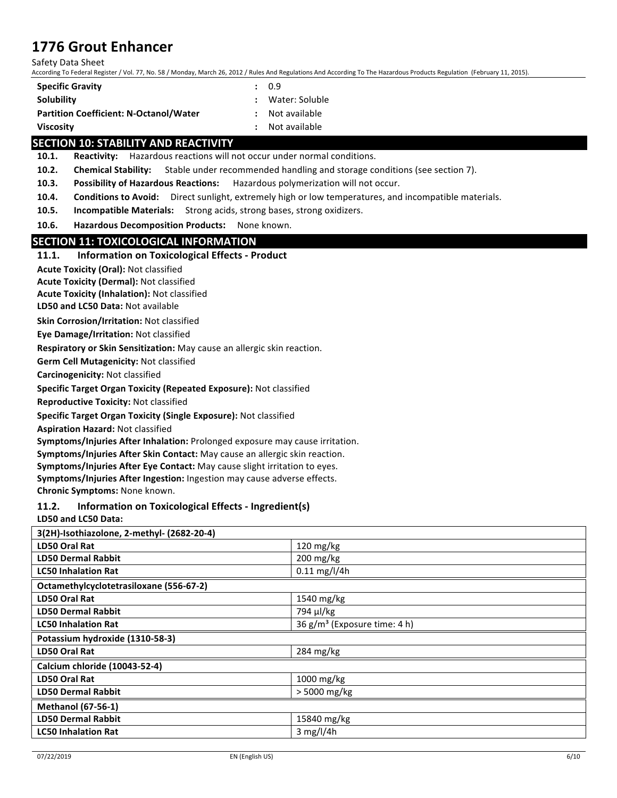Safety Data Sheet

According To Federal Register / Vol. 77, No. 58 / Monday, March 26, 2012 / Rules And Regulations And According To The Hazardous Products Regulation (February 11, 2015).

| <b>Specific Gravity</b>                       | : 0.9            |
|-----------------------------------------------|------------------|
| Solubility                                    | : Water: Soluble |
| <b>Partition Coefficient: N-Octanol/Water</b> | : Not available  |
| <b>Viscosity</b>                              | : Not available  |

### **SECTION 10: STABILITY AND REACTIVITY**

**10.1.** Reactivity: Hazardous reactions will not occur under normal conditions.

**10.2. Chemical Stability:** Stable under recommended handling and storage conditions (see section 7).

**10.3.** Possibility of Hazardous Reactions: Hazardous polymerization will not occur.

**10.4.** Conditions to Avoid: Direct sunlight, extremely high or low temperatures, and incompatible materials.

**10.5. Incompatible Materials:** Strong acids, strong bases, strong oxidizers.

10.6. **Hazardous Decomposition Products:** None known.

### **SECTION 11: TOXICOLOGICAL INFORMATION**

### **11.1.** Information on Toxicological Effects - Product

**Acute Toxicity (Oral): Not classified** 

**Acute Toxicity (Dermal):** Not classified

**Acute Toxicity (Inhalation): Not classified** 

**LD50 and LC50 Data: Not available** 

**Skin Corrosion/Irritation: Not classified** 

**Eye Damage/Irritation: Not classified** 

**Respiratory or Skin Sensitization:** May cause an allergic skin reaction.

**Germ Cell Mutagenicity: Not classified** 

**Carcinogenicity:** Not classified

**Specific Target Organ Toxicity (Repeated Exposure):** Not classified

**Reproductive Toxicity: Not classified** 

Specific Target Organ Toxicity (Single Exposure): Not classified

**Aspiration Hazard:** Not classified

**Symptoms/Injuries After Inhalation:** Prolonged exposure may cause irritation.

Symptoms/Injuries After Skin Contact: May cause an allergic skin reaction.

Symptoms/Injuries After Eye Contact: May cause slight irritation to eyes.

**Symptoms/Injuries After Ingestion:** Ingestion may cause adverse effects.

**Chronic Symptoms:** None known.

### **11.2. Information on Toxicological Effects - Ingredient(s)**

**LD50 and LC50 Data:** 

| 3(2H)-Isothiazolone, 2-methyl- (2682-20-4) |                                          |
|--------------------------------------------|------------------------------------------|
| LD50 Oral Rat                              | 120 mg/kg                                |
| <b>LD50 Dermal Rabbit</b>                  | $200$ mg/kg                              |
| <b>LC50 Inhalation Rat</b>                 | $0.11$ mg/l/4h                           |
| Octamethylcyclotetrasiloxane (556-67-2)    |                                          |
| LD50 Oral Rat                              | 1540 mg/kg                               |
| <b>LD50 Dermal Rabbit</b>                  | 794 µl/kg                                |
| <b>LC50 Inhalation Rat</b>                 | 36 g/m <sup>3</sup> (Exposure time: 4 h) |
| Potassium hydroxide (1310-58-3)            |                                          |
| LD50 Oral Rat                              | 284 mg/kg                                |
| Calcium chloride (10043-52-4)              |                                          |
| LD50 Oral Rat                              | 1000 mg/kg                               |
| <b>LD50 Dermal Rabbit</b>                  | > 5000 mg/kg                             |
| <b>Methanol (67-56-1)</b>                  |                                          |
| <b>LD50 Dermal Rabbit</b>                  | 15840 mg/kg                              |
| <b>LC50 Inhalation Rat</b>                 | $3$ mg/l/4h                              |
|                                            |                                          |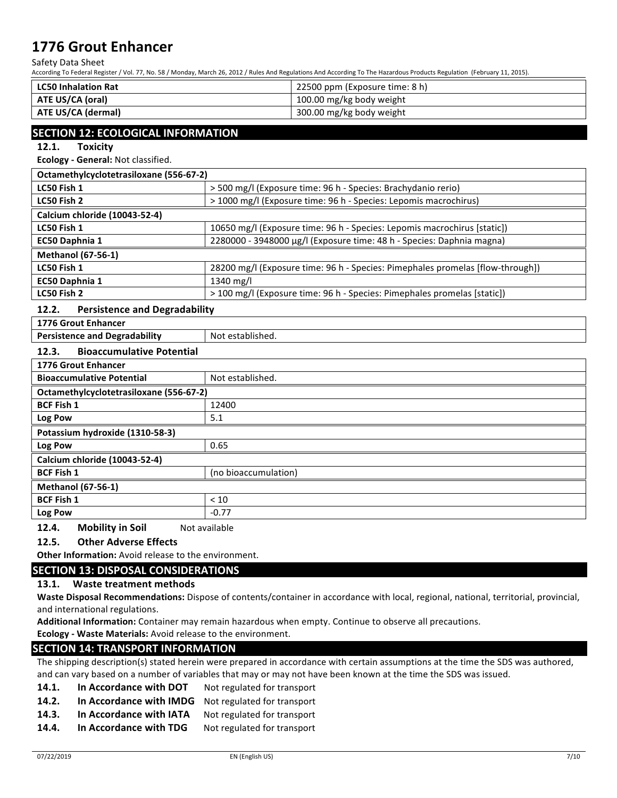Safety Data Sheet

According To Federal Register / Vol. 77, No. 58 / Monday, March 26, 2012 / Rules And Regulations And According To The Hazardous Products Regulation (February 11, 2015).

| <b>LC50 Inhalation Rat</b> | 22500 ppm (Exposure time: 8 h) |
|----------------------------|--------------------------------|
| ATE US/CA (oral)           | 100.00 mg/kg body weight       |
| ATE US/CA (dermal)         | 300.00 mg/kg body weight       |

## **SECTION 12: ECOLOGICAL INFORMATION**

12.1. Toxicity

### **Ecology - General: Not classified.**

| Octamethylcyclotetrasiloxane (556-67-2) |                                                                                |
|-----------------------------------------|--------------------------------------------------------------------------------|
| LC50 Fish 1                             | > 500 mg/l (Exposure time: 96 h - Species: Brachydanio rerio)                  |
| LC50 Fish 2                             | > 1000 mg/l (Exposure time: 96 h - Species: Lepomis macrochirus)               |
| Calcium chloride (10043-52-4)           |                                                                                |
| LC50 Fish 1                             | 10650 mg/l (Exposure time: 96 h - Species: Lepomis macrochirus [static])       |
| <b>EC50 Daphnia 1</b>                   | 2280000 - 3948000 µg/l (Exposure time: 48 h - Species: Daphnia magna)          |
| <b>Methanol (67-56-1)</b>               |                                                                                |
| LC50 Fish 1                             | 28200 mg/l (Exposure time: 96 h - Species: Pimephales promelas [flow-through]) |
| EC50 Daphnia 1                          | 1340 mg/l                                                                      |
| LC50 Fish 2                             | > 100 mg/l (Exposure time: 96 h - Species: Pimephales promelas [static])       |
|                                         |                                                                                |

### **12.2.** Persistence and Degradability

| 1776 Grout Enhancer |                                      |                  |
|---------------------|--------------------------------------|------------------|
|                     | <b>Persistence and Degradability</b> | Not established. |
| 12.3.               | <b>Bioaccumulative Potential</b>     |                  |

| 1776 Grout Enhancer                     |                      |  |
|-----------------------------------------|----------------------|--|
| <b>Bioaccumulative Potential</b>        | Not established.     |  |
| Octamethylcyclotetrasiloxane (556-67-2) |                      |  |
| <b>BCF Fish 1</b>                       | 12400                |  |
| Log Pow                                 | 5.1                  |  |
| Potassium hydroxide (1310-58-3)         |                      |  |
| Log Pow                                 | 0.65                 |  |
| Calcium chloride (10043-52-4)           |                      |  |
| <b>BCF Fish 1</b>                       | (no bioaccumulation) |  |
| <b>Methanol (67-56-1)</b>               |                      |  |
| <b>BCF Fish 1</b>                       | < 10                 |  |
| Log Pow                                 | $-0.77$              |  |

**12.4.** Mobility in Soil Not available

### **12.5.** Other Adverse Effects

**Other Information:** Avoid release to the environment.

### **SECTION 13: DISPOSAL CONSIDERATIONS**

### 13.1. Waste treatment methods

Waste Disposal Recommendations: Dispose of contents/container in accordance with local, regional, national, territorial, provincial, and international regulations.

Additional Information: Container may remain hazardous when empty. Continue to observe all precautions.

**Ecology** - Waste Materials: Avoid release to the environment.

### **SECTION 14: TRANSPORT INFORMATION**

The shipping description(s) stated herein were prepared in accordance with certain assumptions at the time the SDS was authored, and can vary based on a number of variables that may or may not have been known at the time the SDS was issued.

- **14.1.** In Accordance with DOT Not regulated for transport
- **14.2.** In Accordance with IMDG Not regulated for transport
- 14.3. In Accordance with IATA Not regulated for transport
- **14.4.** In Accordance with TDG Not regulated for transport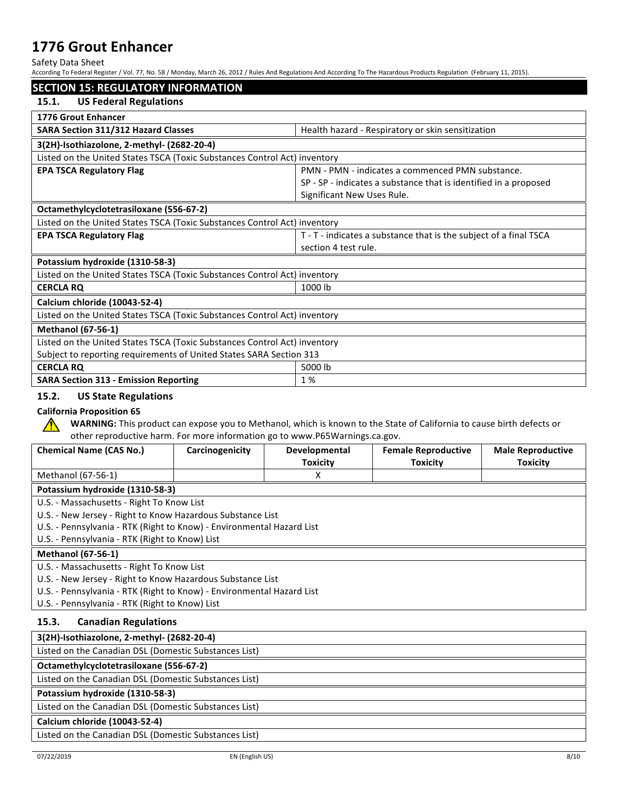Safety Data Sheet

| <b>SECTION 15: REGULATORY INFORMATION</b>                                            |                 |                                                                             |                                                                                                                       |                                             |  |  |
|--------------------------------------------------------------------------------------|-----------------|-----------------------------------------------------------------------------|-----------------------------------------------------------------------------------------------------------------------|---------------------------------------------|--|--|
| <b>US Federal Regulations</b><br>15.1.                                               |                 |                                                                             |                                                                                                                       |                                             |  |  |
| 1776 Grout Enhancer                                                                  |                 |                                                                             |                                                                                                                       |                                             |  |  |
| <b>SARA Section 311/312 Hazard Classes</b>                                           |                 |                                                                             | Health hazard - Respiratory or skin sensitization                                                                     |                                             |  |  |
| 3(2H)-Isothiazolone, 2-methyl- (2682-20-4)                                           |                 |                                                                             |                                                                                                                       |                                             |  |  |
| Listed on the United States TSCA (Toxic Substances Control Act) inventory            |                 |                                                                             |                                                                                                                       |                                             |  |  |
| <b>EPA TSCA Regulatory Flag</b>                                                      |                 |                                                                             | PMN - PMN - indicates a commenced PMN substance.                                                                      |                                             |  |  |
|                                                                                      |                 |                                                                             | SP - SP - indicates a substance that is identified in a proposed                                                      |                                             |  |  |
|                                                                                      |                 | Significant New Uses Rule.                                                  |                                                                                                                       |                                             |  |  |
| Octamethylcyclotetrasiloxane (556-67-2)                                              |                 |                                                                             |                                                                                                                       |                                             |  |  |
| Listed on the United States TSCA (Toxic Substances Control Act) inventory            |                 |                                                                             |                                                                                                                       |                                             |  |  |
| <b>EPA TSCA Regulatory Flag</b>                                                      |                 |                                                                             | T - T - indicates a substance that is the subject of a final TSCA                                                     |                                             |  |  |
|                                                                                      |                 | section 4 test rule.                                                        |                                                                                                                       |                                             |  |  |
| Potassium hydroxide (1310-58-3)                                                      |                 |                                                                             |                                                                                                                       |                                             |  |  |
| Listed on the United States TSCA (Toxic Substances Control Act) inventory            |                 |                                                                             |                                                                                                                       |                                             |  |  |
| <b>CERCLA RQ</b>                                                                     |                 | 1000 lb                                                                     |                                                                                                                       |                                             |  |  |
| Calcium chloride (10043-52-4)                                                        |                 |                                                                             |                                                                                                                       |                                             |  |  |
| Listed on the United States TSCA (Toxic Substances Control Act) inventory            |                 |                                                                             |                                                                                                                       |                                             |  |  |
| <b>Methanol (67-56-1)</b>                                                            |                 |                                                                             |                                                                                                                       |                                             |  |  |
| Listed on the United States TSCA (Toxic Substances Control Act) inventory            |                 |                                                                             |                                                                                                                       |                                             |  |  |
| Subject to reporting requirements of United States SARA Section 313                  |                 |                                                                             |                                                                                                                       |                                             |  |  |
| <b>CERCLA RQ</b>                                                                     |                 | 5000 lb                                                                     |                                                                                                                       |                                             |  |  |
|                                                                                      |                 |                                                                             |                                                                                                                       | 1%                                          |  |  |
| <b>SARA Section 313 - Emission Reporting</b><br>15.2.<br><b>US State Regulations</b> |                 |                                                                             |                                                                                                                       |                                             |  |  |
| <b>California Proposition 65</b><br>$\sqrt{N}$                                       |                 | other reproductive harm. For more information go to www.P65Warnings.ca.gov. | WARNING: This product can expose you to Methanol, which is known to the State of California to cause birth defects or |                                             |  |  |
| <b>Chemical Name (CAS No.)</b>                                                       | Carcinogenicity | Developmental<br><b>Toxicity</b>                                            | <b>Female Reproductive</b><br><b>Toxicity</b>                                                                         | <b>Male Reproductive</b><br><b>Toxicity</b> |  |  |
| Methanol (67-56-1)                                                                   |                 | X                                                                           |                                                                                                                       |                                             |  |  |
| Potassium hydroxide (1310-58-3)                                                      |                 |                                                                             |                                                                                                                       |                                             |  |  |
| U.S. - Massachusetts - Right To Know List                                            |                 |                                                                             |                                                                                                                       |                                             |  |  |
| U.S. - New Jersey - Right to Know Hazardous Substance List                           |                 |                                                                             |                                                                                                                       |                                             |  |  |
| U.S. - Pennsylvania - RTK (Right to Know) - Environmental Hazard List                |                 |                                                                             |                                                                                                                       |                                             |  |  |
| U.S. - Pennsylvania - RTK (Right to Know) List                                       |                 |                                                                             |                                                                                                                       |                                             |  |  |
| <b>Methanol (67-56-1)</b>                                                            |                 |                                                                             |                                                                                                                       |                                             |  |  |
| U.S. - Massachusetts - Right To Know List                                            |                 |                                                                             |                                                                                                                       |                                             |  |  |
| U.S. - New Jersey - Right to Know Hazardous Substance List                           |                 |                                                                             |                                                                                                                       |                                             |  |  |
| U.S. - Pennsylvania - RTK (Right to Know) - Environmental Hazard List                |                 |                                                                             |                                                                                                                       |                                             |  |  |
| U.S. - Pennsylvania - RTK (Right to Know) List                                       |                 |                                                                             |                                                                                                                       |                                             |  |  |
| 15.3.<br><b>Canadian Regulations</b>                                                 |                 |                                                                             |                                                                                                                       |                                             |  |  |
| 3(2H)-Isothiazolone, 2-methyl- (2682-20-4)                                           |                 |                                                                             |                                                                                                                       |                                             |  |  |
| Listed on the Canadian DSL (Domestic Substances List)                                |                 |                                                                             |                                                                                                                       |                                             |  |  |
| Octamethylcyclotetrasiloxane (556-67-2)                                              |                 |                                                                             |                                                                                                                       |                                             |  |  |
| Listed on the Canadian DSL (Domestic Substances List)                                |                 |                                                                             |                                                                                                                       |                                             |  |  |

Listed on the Canadian DSL (Domestic Substances List)

## **Calcium chloride (10043-52-4)**

Listed on the Canadian DSL (Domestic Substances List)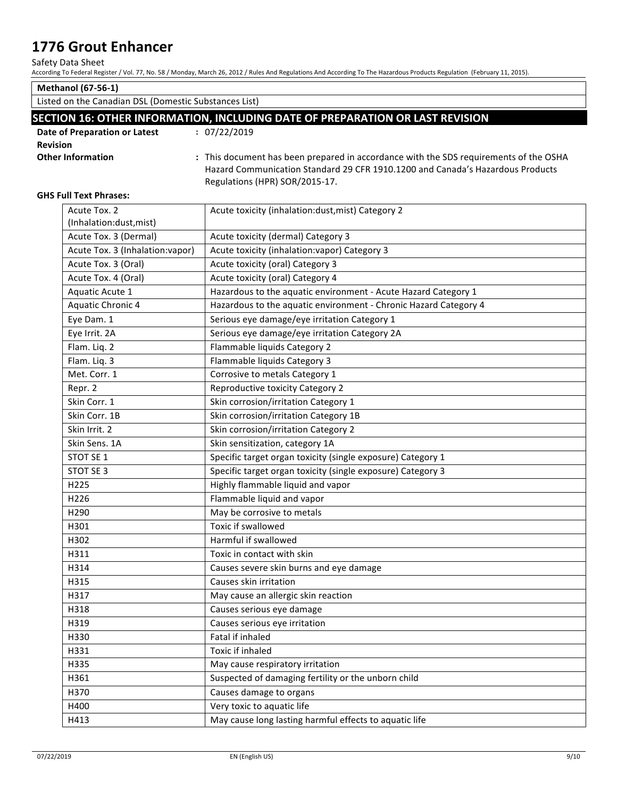Safety Data Sheet

|                                                                               | According To Federal Register / Vol. 77, No. 58 / Monday, March 26, 2012 / Rules And Regulations And According To The Hazardous Products Regulation (February 11, 2015). |  |  |
|-------------------------------------------------------------------------------|--------------------------------------------------------------------------------------------------------------------------------------------------------------------------|--|--|
| <b>Methanol (67-56-1)</b>                                                     |                                                                                                                                                                          |  |  |
| Listed on the Canadian DSL (Domestic Substances List)                         |                                                                                                                                                                          |  |  |
| SECTION 16: OTHER INFORMATION, INCLUDING DATE OF PREPARATION OR LAST REVISION |                                                                                                                                                                          |  |  |
| Date of Preparation or Latest                                                 | : 07/22/2019                                                                                                                                                             |  |  |
| <b>Revision</b>                                                               |                                                                                                                                                                          |  |  |
| <b>Other Information</b>                                                      | : This document has been prepared in accordance with the SDS requirements of the OSHA                                                                                    |  |  |
|                                                                               | Hazard Communication Standard 29 CFR 1910.1200 and Canada's Hazardous Products                                                                                           |  |  |
|                                                                               | Regulations (HPR) SOR/2015-17.                                                                                                                                           |  |  |
| <b>GHS Full Text Phrases:</b>                                                 |                                                                                                                                                                          |  |  |
| Acute Tox. 2                                                                  | Acute toxicity (inhalation:dust, mist) Category 2                                                                                                                        |  |  |
| (Inhalation:dust, mist)                                                       |                                                                                                                                                                          |  |  |
| Acute Tox. 3 (Dermal)                                                         | Acute toxicity (dermal) Category 3                                                                                                                                       |  |  |
| Acute Tox. 3 (Inhalation: vapor)                                              | Acute toxicity (inhalation: vapor) Category 3                                                                                                                            |  |  |
| Acute Tox. 3 (Oral)                                                           | Acute toxicity (oral) Category 3                                                                                                                                         |  |  |
| Acute Tox. 4 (Oral)                                                           | Acute toxicity (oral) Category 4                                                                                                                                         |  |  |
| Aquatic Acute 1                                                               | Hazardous to the aquatic environment - Acute Hazard Category 1                                                                                                           |  |  |
| Aquatic Chronic 4                                                             | Hazardous to the aquatic environment - Chronic Hazard Category 4                                                                                                         |  |  |
| Eye Dam. 1                                                                    | Serious eye damage/eye irritation Category 1                                                                                                                             |  |  |
| Eye Irrit. 2A                                                                 | Serious eye damage/eye irritation Category 2A                                                                                                                            |  |  |
| Flam. Liq. 2                                                                  | Flammable liquids Category 2                                                                                                                                             |  |  |
| Flam. Liq. 3                                                                  | Flammable liquids Category 3                                                                                                                                             |  |  |
| Met. Corr. 1                                                                  | Corrosive to metals Category 1                                                                                                                                           |  |  |
| Repr. 2                                                                       | Reproductive toxicity Category 2                                                                                                                                         |  |  |
| Skin Corr. 1                                                                  | Skin corrosion/irritation Category 1                                                                                                                                     |  |  |
| Skin Corr. 1B                                                                 | Skin corrosion/irritation Category 1B                                                                                                                                    |  |  |
| Skin Irrit. 2                                                                 | Skin corrosion/irritation Category 2                                                                                                                                     |  |  |
| Skin Sens. 1A                                                                 | Skin sensitization, category 1A                                                                                                                                          |  |  |
| STOT SE 1                                                                     | Specific target organ toxicity (single exposure) Category 1                                                                                                              |  |  |
| STOT SE 3                                                                     | Specific target organ toxicity (single exposure) Category 3                                                                                                              |  |  |
| H225                                                                          | Highly flammable liquid and vapor                                                                                                                                        |  |  |
| H226                                                                          | Flammable liquid and vapor                                                                                                                                               |  |  |
| H290                                                                          | May be corrosive to metals                                                                                                                                               |  |  |
| H301                                                                          | Toxic if swallowed                                                                                                                                                       |  |  |
| H302                                                                          | Harmful if swallowed                                                                                                                                                     |  |  |
| H311                                                                          | Toxic in contact with skin                                                                                                                                               |  |  |
| H314                                                                          | Causes severe skin burns and eye damage                                                                                                                                  |  |  |
| H315                                                                          | Causes skin irritation                                                                                                                                                   |  |  |
| H317                                                                          | May cause an allergic skin reaction                                                                                                                                      |  |  |
| H318                                                                          | Causes serious eye damage                                                                                                                                                |  |  |
| H319                                                                          | Causes serious eye irritation                                                                                                                                            |  |  |
| H330                                                                          | Fatal if inhaled                                                                                                                                                         |  |  |

H413 May cause long lasting harmful effects to aquatic life

H361 Suspected of damaging fertility or the unborn child

H331 Toxic if inhaled

H335 May cause respiratory irritation

H370 **Causes damage to organs** H400 **Hallace Example 2018** Very toxic to aquatic life